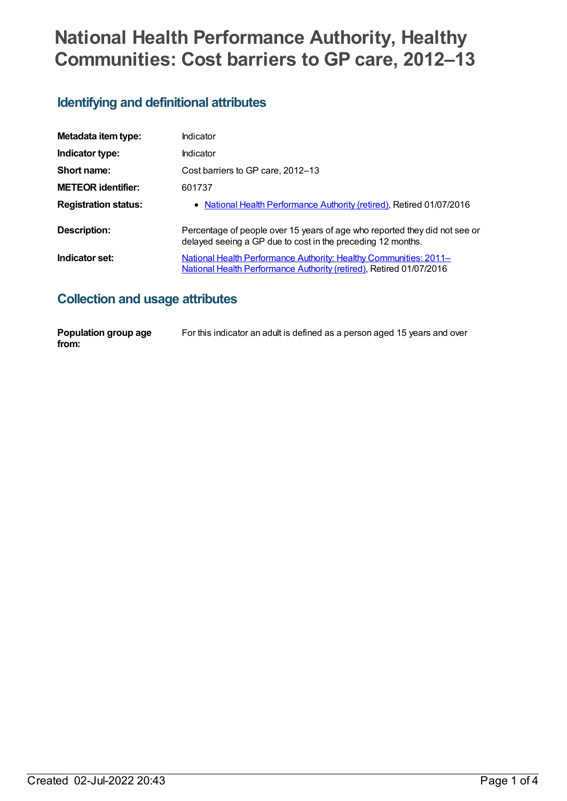# **National Health Performance Authority, Healthy Communities: Cost barriers to GP care, 2012–13**

## **Identifying and definitional attributes**

| Metadata item type:         | Indicator                                                                                                                                 |
|-----------------------------|-------------------------------------------------------------------------------------------------------------------------------------------|
| Indicator type:             | Indicator                                                                                                                                 |
| Short name:                 | Cost barriers to GP care, 2012-13                                                                                                         |
| <b>METEOR identifier:</b>   | 601737                                                                                                                                    |
| <b>Registration status:</b> | • National Health Performance Authority (retired), Retired 01/07/2016                                                                     |
| Description:                | Percentage of people over 15 years of age who reported they did not see or<br>delayed seeing a GP due to cost in the preceding 12 months. |
| Indicator set:              | National Health Performance Authority: Healthy Communities: 2011-<br>National Health Performance Authority (retired), Retired 01/07/2016  |

#### **Collection and usage attributes**

| Population group age | For this indicator an adult is defined as a person aged 15 years and over |
|----------------------|---------------------------------------------------------------------------|
| from:                |                                                                           |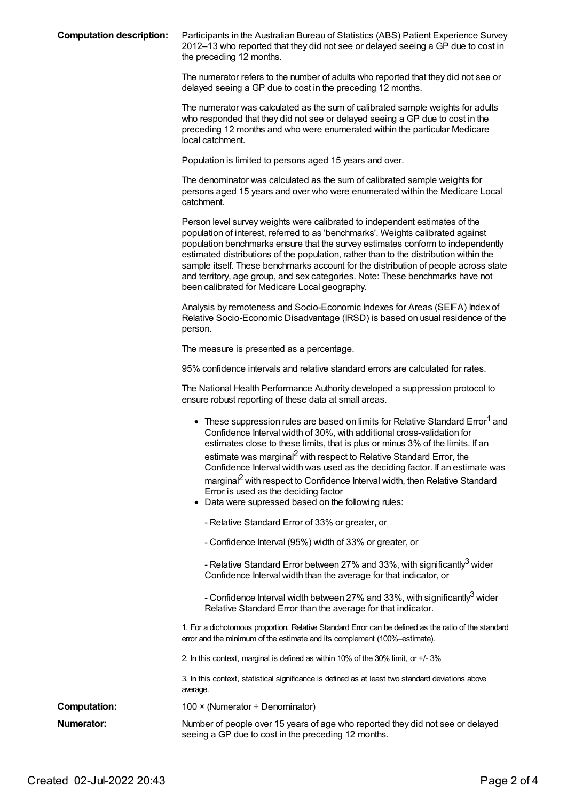**Computation description:** Participants in the Australian Bureau of Statistics (ABS) Patient Experience Survey 2012–13 who reported that they did not see or delayed seeing a GP due to cost in the preceding 12 months.

> The numerator refers to the number of adults who reported that they did not see or delayed seeing a GP due to cost in the preceding 12 months.

The numerator was calculated as the sum of calibrated sample weights for adults who responded that they did not see or delayed seeing a GP due to cost in the preceding 12 months and who were enumerated within the particular Medicare local catchment.

Population is limited to persons aged 15 years and over.

The denominator was calculated as the sum of calibrated sample weights for persons aged 15 years and over who were enumerated within the Medicare Local catchment.

Person level survey weights were calibrated to independent estimates of the population of interest, referred to as 'benchmarks'. Weights calibrated against population benchmarks ensure that the survey estimates conform to independently estimated distributions of the population, rather than to the distribution within the sample itself. These benchmarks account for the distribution of people across state and territory, age group, and sex categories. Note: These benchmarks have not been calibrated for Medicare Local geography.

Analysis by remoteness and Socio-Economic Indexes for Areas (SEIFA) Index of Relative Socio-Economic Disadvantage (IRSD) is based on usual residence of the person.

The measure is presented as a percentage.

95% confidence intervals and relative standard errors are calculated for rates.

The National Health Performance Authority developed a suppression protocol to ensure robust reporting of these data at small areas.

|                     | • These suppression rules are based on limits for Relative Standard Error <sup>1</sup> and<br>Confidence Interval width of 30%, with additional cross-validation for<br>estimates close to these limits, that is plus or minus 3% of the limits. If an<br>estimate was marginal <sup>2</sup> with respect to Relative Standard Error, the<br>Confidence Interval width was used as the deciding factor. If an estimate was<br>marginal <sup>2</sup> with respect to Confidence Interval width, then Relative Standard<br>Error is used as the deciding factor<br>Data were supressed based on the following rules: |
|---------------------|--------------------------------------------------------------------------------------------------------------------------------------------------------------------------------------------------------------------------------------------------------------------------------------------------------------------------------------------------------------------------------------------------------------------------------------------------------------------------------------------------------------------------------------------------------------------------------------------------------------------|
|                     | - Relative Standard Error of 33% or greater, or                                                                                                                                                                                                                                                                                                                                                                                                                                                                                                                                                                    |
|                     | - Confidence Interval (95%) width of 33% or greater, or                                                                                                                                                                                                                                                                                                                                                                                                                                                                                                                                                            |
|                     | - Relative Standard Error between 27% and 33%, with significantly <sup>3</sup> wider<br>Confidence Interval width than the average for that indicator, or                                                                                                                                                                                                                                                                                                                                                                                                                                                          |
|                     | - Confidence Interval width between 27% and 33%, with significantly <sup>3</sup> wider<br>Relative Standard Error than the average for that indicator.                                                                                                                                                                                                                                                                                                                                                                                                                                                             |
|                     | 1. For a dichotomous proportion, Relative Standard Error can be defined as the ratio of the standard<br>error and the minimum of the estimate and its complement (100%-estimate).                                                                                                                                                                                                                                                                                                                                                                                                                                  |
|                     | 2. In this context, marginal is defined as within 10% of the 30% limit, or +/-3%                                                                                                                                                                                                                                                                                                                                                                                                                                                                                                                                   |
|                     | 3. In this context, statistical significance is defined as at least two standard deviations above<br>average.                                                                                                                                                                                                                                                                                                                                                                                                                                                                                                      |
| <b>Computation:</b> | $100 \times (N$ umerator ÷ Denominator)                                                                                                                                                                                                                                                                                                                                                                                                                                                                                                                                                                            |
| Numerator:          | Number of people over 15 years of age who reported they did not see or delayed<br>seeing a GP due to cost in the preceding 12 months.                                                                                                                                                                                                                                                                                                                                                                                                                                                                              |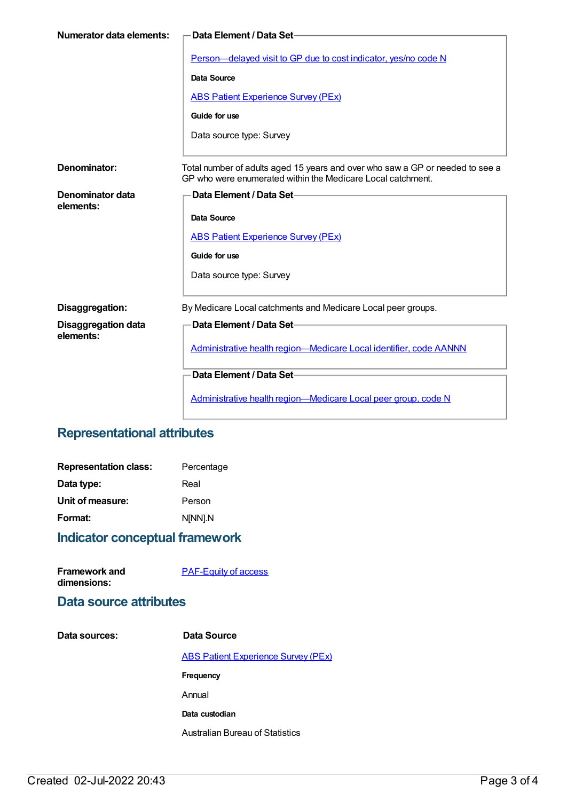| Numerator data elements:                | Data Element / Data Set-                                                                                                                                                  |
|-----------------------------------------|---------------------------------------------------------------------------------------------------------------------------------------------------------------------------|
|                                         | Person-delayed visit to GP due to cost indicator, yes/no code N<br>Data Source<br><b>ABS Patient Experience Survey (PEx)</b><br>Guide for use<br>Data source type: Survey |
| Denominator:                            | Total number of adults aged 15 years and over who saw a GP or needed to see a<br>GP who were enumerated within the Medicare Local catchment.                              |
| Denominator data<br>elements:           | Data Element / Data Set-<br>Data Source<br><b>ABS Patient Experience Survey (PEx)</b><br>Guide for use<br>Data source type: Survey                                        |
| Disaggregation:                         | By Medicare Local catchments and Medicare Local peer groups.                                                                                                              |
| <b>Disaggregation data</b><br>elements: | Data Element / Data Set-<br>Administrative health region-Medicare Local identifier, code AANNN                                                                            |
|                                         | Data Element / Data Set-                                                                                                                                                  |
|                                         | Administrative health region-Medicare Local peer group, code N                                                                                                            |

# **Representational attributes**

| <b>Representation class:</b> | Percentage |
|------------------------------|------------|
| Data type:                   | Real       |
| Unit of measure:             | Person     |
| Format:                      | N[NN].N    |
|                              |            |

# **Indicator conceptual framework**

| Framework and | <b>PAF-Equity of access</b> |
|---------------|-----------------------------|
| dimensions:   |                             |

#### **Data source attributes**

| Data sources: | Data Source                                |
|---------------|--------------------------------------------|
|               | <b>ABS Patient Experience Survey (PEx)</b> |
|               | Frequency                                  |
|               | Annual                                     |
|               | Data custodian                             |
|               | Australian Bureau of Statistics            |